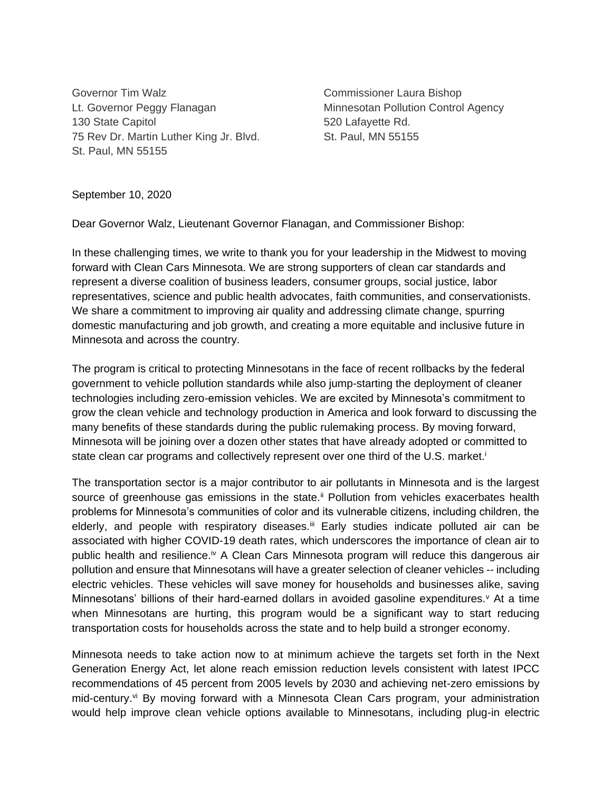Governor Tim Walz **Commissioner Laura Bishop** Lt. Governor Peggy Flanagan Minnesotan Pollution Control Agency 130 State Capitol **130 State Capitol** 620 Lafayette Rd. 75 Rev Dr. Martin Luther King Jr. Blvd. St. Paul, MN 55155 St. Paul, MN 55155

## September 10, 2020

Dear Governor Walz, Lieutenant Governor Flanagan, and Commissioner Bishop:

In these challenging times, we write to thank you for your leadership in the Midwest to moving forward with Clean Cars Minnesota. We are strong supporters of clean car standards and represent a diverse coalition of business leaders, consumer groups, social justice, labor representatives, science and public health advocates, faith communities, and conservationists. We share a commitment to improving air quality and addressing climate change, spurring domestic manufacturing and job growth, and creating a more equitable and inclusive future in Minnesota and across the country.

The program is critical to protecting Minnesotans in the face of recent rollbacks by the federal government to vehicle pollution standards while also jump-starting the deployment of cleaner technologies including zero-emission vehicles. We are excited by Minnesota's commitment to grow the clean vehicle and technology production in America and look forward to discussing the many benefits of these standards during the public rulemaking process. By moving forward, Minnesota will be joining over a dozen other states that have already adopted or committed to state clean car programs and collectively represent over one third of the U.S. market.<sup>i</sup>

The transportation sector is a major contributor to air pollutants in Minnesota and is the largest source of greenhouse gas emissions in the state.<sup>ii</sup> Pollution from vehicles exacerbates health problems for Minnesota's communities of color and its vulnerable citizens, including children, the elderly, and people with respiratory diseases.<sup>iii</sup> Early studies indicate polluted air can be associated with higher COVID-19 death rates, which underscores the importance of clean air to public health and resilience.<sup>iv</sup> A Clean Cars Minnesota program will reduce this dangerous air pollution and ensure that Minnesotans will have a greater selection of cleaner vehicles -- including electric vehicles. These vehicles will save money for households and businesses alike, saving Minnesotans' billions of their hard-earned dollars in avoided gasoline expenditures. $\vee$  At a time when Minnesotans are hurting, this program would be a significant way to start reducing transportation costs for households across the state and to help build a stronger economy.

Minnesota needs to take action now to at minimum achieve the targets set forth in the Next Generation Energy Act, let alone reach emission reduction levels consistent with latest IPCC recommendations of 45 percent from 2005 levels by 2030 and achieving net-zero emissions by mid-century.<sup>vi</sup> By moving forward with a Minnesota Clean Cars program, your administration would help improve clean vehicle options available to Minnesotans, including plug-in electric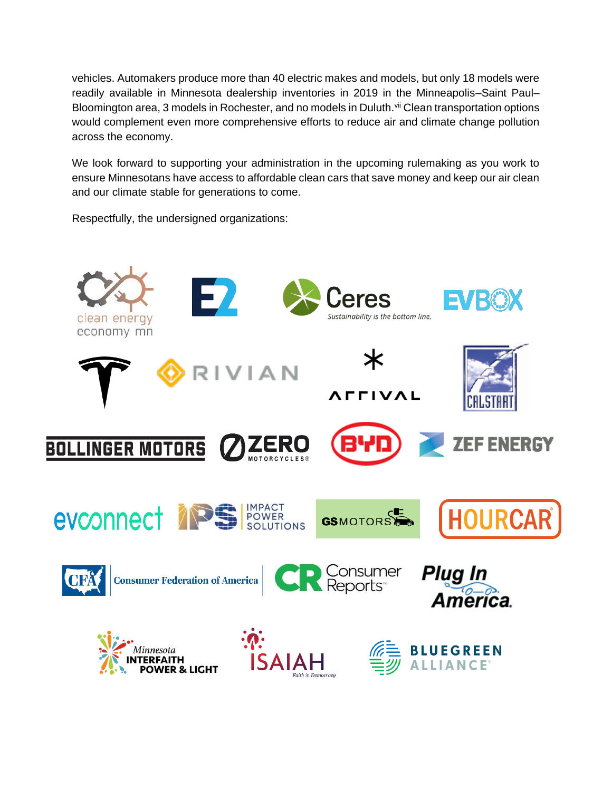vehicles. Automakers produce more than 40 electric makes and models, but only 18 models were readily available in Minnesota dealership inventories in 2019 in the Minneapolis–Saint Paul– Bloomington area, 3 models in Rochester, and no models in Duluth. Vil Clean transportation options would complement even more comprehensive efforts to reduce air and climate change pollution across the economy.

We look forward to supporting your administration in the upcoming rulemaking as you work to ensure Minnesotans have access to affordable clean cars that save money and keep our air clean and our climate stable for generations to come.

Respectfully, the undersigned organizations: